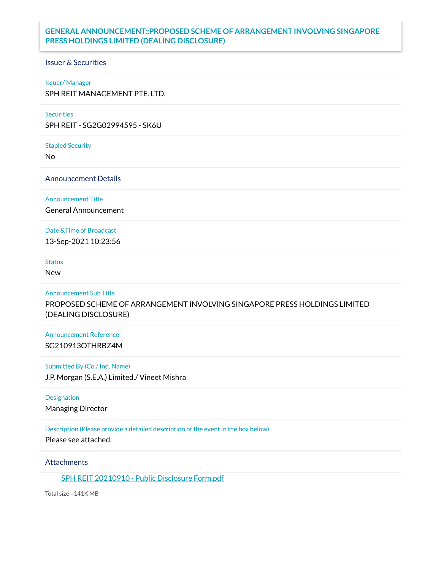# **GENERAL ANNOUNCEMENT::PROPOSED SCHEME OF ARRANGEMENT INVOLVING SINGAPORE PRESS HOLDINGS LIMITED (DEALING DISCLOSURE)**

### Issuer & Securities

#### Issuer/ Manager

SPH REIT MANAGEMENT PTE. LTD.

#### **Securities**

SPH REIT - SG2G02994595 - SK6U

Stapled Security

No

Announcement Details

Announcement Title

General Announcement

### Date &Time of Broadcast

13-Sep-2021 10:23:56

# **Status**

New

### Announcement Sub Title

PROPOSED SCHEME OF ARRANGEMENT INVOLVING SINGAPORE PRESS HOLDINGS LIMITED (DEALING DISCLOSURE)

## Announcement Reference SG210913OTHRBZ4M

#### Submitted By (Co./ Ind. Name)

J.P. Morgan (S.E.A.) Limited./ Vineet Mishra

### Designation

Managing Director

## Description (Please provide a detailed description of the event in the box below)

Please see attached.

### **Attachments**

SPH REIT [20210910](https://links.sgx.com/1.0.0/corporate-announcements/EOL2EF5EKO51D78F/683266_SPH%20REIT%2020210910%20-%20Public%20Disclosure%20Form.pdf) - Public Disclosure Form.pdf

Total size =141K MB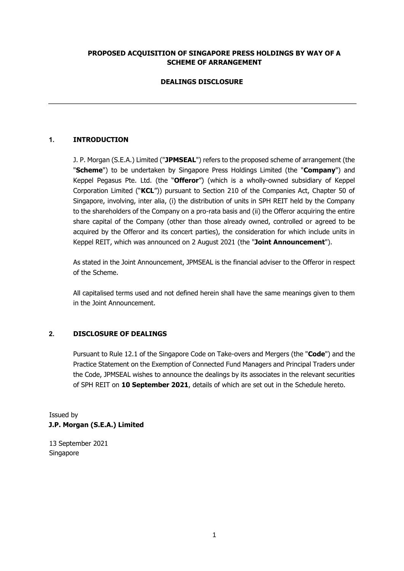# **PROPOSED ACQUISITION OF SINGAPORE PRESS HOLDINGS BY WAY OF A SCHEME OF ARRANGEMENT**

# **DEALINGS DISCLOSURE**

# **1. INTRODUCTION**

J. P. Morgan (S.E.A.) Limited ("**JPMSEAL**") refers to the proposed scheme of arrangement (the "**Scheme**") to be undertaken by Singapore Press Holdings Limited (the "**Company**") and Keppel Pegasus Pte. Ltd. (the "**Offeror**") (which is a wholly-owned subsidiary of Keppel Corporation Limited ("**KCL**")) pursuant to Section 210 of the Companies Act, Chapter 50 of Singapore, involving, inter alia, (i) the distribution of units in SPH REIT held by the Company to the shareholders of the Company on a pro-rata basis and (ii) the Offeror acquiring the entire share capital of the Company (other than those already owned, controlled or agreed to be acquired by the Offeror and its concert parties), the consideration for which include units in Keppel REIT, which was announced on 2 August 2021 (the "**Joint Announcement**").

As stated in the Joint Announcement, JPMSEAL is the financial adviser to the Offeror in respect of the Scheme.

All capitalised terms used and not defined herein shall have the same meanings given to them in the Joint Announcement.

## **2. DISCLOSURE OF DEALINGS**

Pursuant to Rule 12.1 of the Singapore Code on Take-overs and Mergers (the "**Code**") and the Practice Statement on the Exemption of Connected Fund Managers and Principal Traders under the Code, JPMSEAL wishes to announce the dealings by its associates in the relevant securities of SPH REIT on **10 September 2021**, details of which are set out in the Schedule hereto.

Issued by **J.P. Morgan (S.E.A.) Limited** 

13 September 2021 Singapore